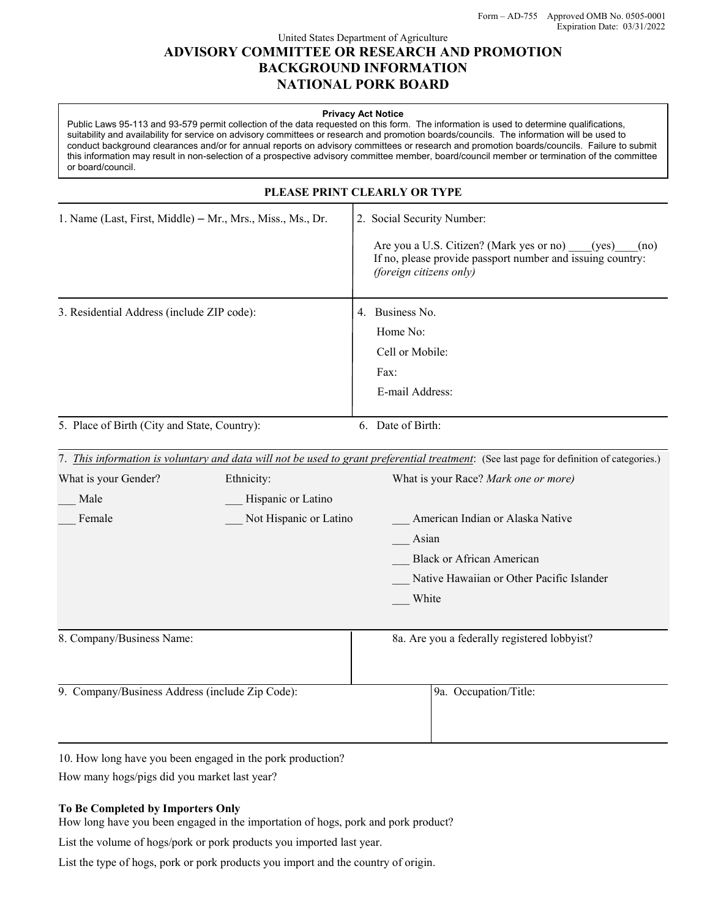## United States Department of Agriculture **ADVISORY COMMITTEE OR RESEARCH AND PROMOTION BACKGROUND INFORMATION NATIONAL PORK BOARD**

#### **Privacy Act Notice**

Public Laws 95-113 and 93-579 permit collection of the data requested on this form. The information is used to determine qualifications, suitability and availability for service on advisory committees or research and promotion boards/councils. The information will be used to conduct background clearances and/or for annual reports on advisory committees or research and promotion boards/councils. Failure to submit this information may result in non-selection of a prospective advisory committee member, board/council member or termination of the committee or board/council.

| PLEASE PRINT CLEARLY OR TYPE                                                                         |  |                                                                                                                                                                                                                                                                                                                          |                                                                                                                                                                                  |
|------------------------------------------------------------------------------------------------------|--|--------------------------------------------------------------------------------------------------------------------------------------------------------------------------------------------------------------------------------------------------------------------------------------------------------------------------|----------------------------------------------------------------------------------------------------------------------------------------------------------------------------------|
| 1. Name (Last, First, Middle) - Mr., Mrs., Miss., Ms., Dr.                                           |  |                                                                                                                                                                                                                                                                                                                          | 2. Social Security Number:<br>Are you a U.S. Citizen? (Mark yes or no)<br>(yes)<br>(no)<br>If no, please provide passport number and issuing country:<br>(foreign citizens only) |
| 3. Residential Address (include ZIP code):                                                           |  |                                                                                                                                                                                                                                                                                                                          | 4. Business No.<br>Home No:<br>Cell or Mobile:<br>Fax:<br>E-mail Address:                                                                                                        |
| 5. Place of Birth (City and State, Country):                                                         |  |                                                                                                                                                                                                                                                                                                                          | 6. Date of Birth:                                                                                                                                                                |
| What is your Gender?<br>Ethnicity:<br>Hispanic or Latino<br>Male<br>Not Hispanic or Latino<br>Female |  | 7. This information is voluntary and data will not be used to grant preferential treatment: (See last page for definition of categories.)<br>What is your Race? Mark one or more)<br>American Indian or Alaska Native<br>Asian<br><b>Black or African American</b><br>Native Hawaiian or Other Pacific Islander<br>White |                                                                                                                                                                                  |
| 8. Company/Business Name:                                                                            |  |                                                                                                                                                                                                                                                                                                                          | 8a. Are you a federally registered lobbyist?                                                                                                                                     |
| 9. Company/Business Address (include Zip Code):                                                      |  |                                                                                                                                                                                                                                                                                                                          | 9a. Occupation/Title:                                                                                                                                                            |

10. How long have you been engaged in the pork production?

How many hogs/pigs did you market last year?

### **To Be Completed by Importers Only**

How long have you been engaged in the importation of hogs, pork and pork product?

List the volume of hogs/pork or pork products you imported last year.

List the type of hogs, pork or pork products you import and the country of origin.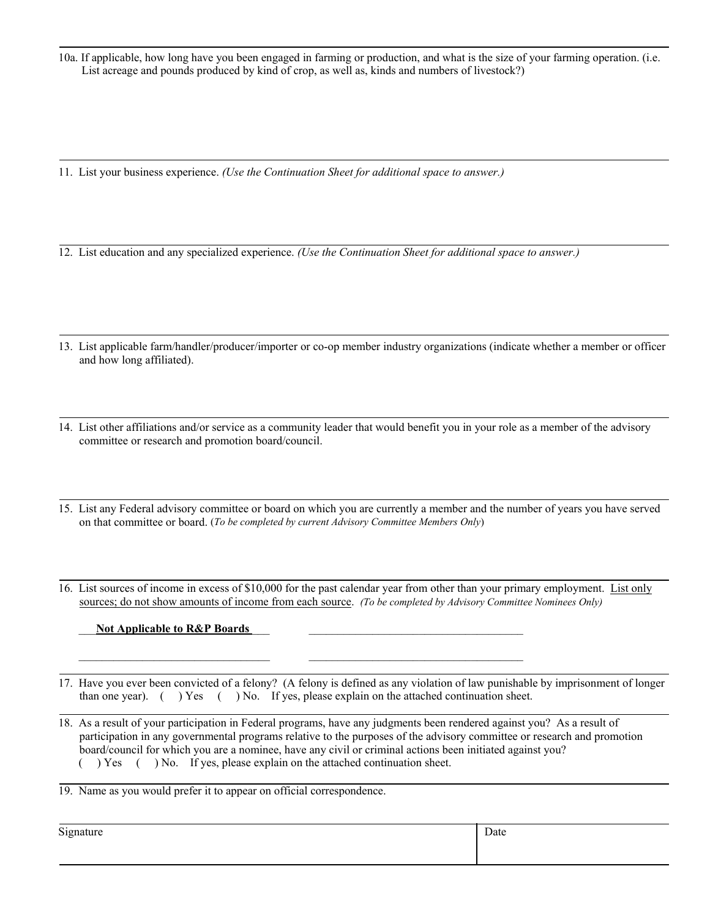10a. If applicable, how long have you been engaged in farming or production, and what is the size of your farming operation. (i.e. List acreage and pounds produced by kind of crop, as well as, kinds and numbers of livestock?)

11. List your business experience. *(Use the Continuation Sheet for additional space to answer.)*

12. List education and any specialized experience. *(Use the Continuation Sheet for additional space to answer.)*

- 13. List applicable farm/handler/producer/importer or co-op member industry organizations (indicate whether a member or officer and how long affiliated).
- 14. List other affiliations and/or service as a community leader that would benefit you in your role as a member of the advisory committee or research and promotion board/council.
- 15. List any Federal advisory committee or board on which you are currently a member and the number of years you have served on that committee or board. (*To be completed by current Advisory Committee Members Only*)
- 16. List sources of income in excess of \$10,000 for the past calendar year from other than your primary employment. List only sources; do not show amounts of income from each source. *(To be completed by Advisory Committee Nominees Only)*

### Not Applicable to R&P Boards

17. Have you ever been convicted of a felony? (A felony is defined as any violation of law punishable by imprisonment of longer than one year). ( ) Yes ( ) No. If yes, please explain on the attached continuation sheet.

 $\bar{a}$  , and the contribution of the contribution of  $\bar{a}$  , and  $\bar{a}$  , and  $\bar{a}$  , and  $\bar{a}$  , and  $\bar{a}$  , and  $\bar{a}$ 

18. As a result of your participation in Federal programs, have any judgments been rendered against you? As a result of participation in any governmental programs relative to the purposes of the advisory committee or research and promotion board/council for which you are a nominee, have any civil or criminal actions been initiated against you? ( ) Yes ( ) No. If yes, please explain on the attached continuation sheet.

19. Name as you would prefer it to appear on official correspondence.

Signature Date Date of the Date of the United States of the Date of the Date of the Date of the Date of the Date of the Date of the Date of the Date of the Date of the Date of the Date of the Date of the Date of the Date o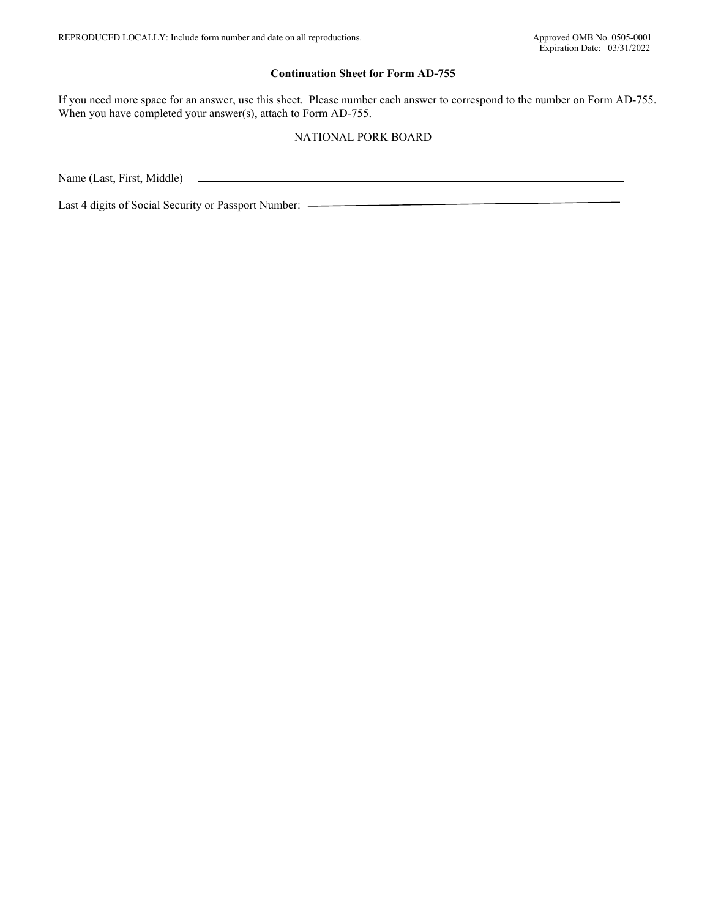#### **Continuation Sheet for Form AD-755**

If you need more space for an answer, use this sheet. Please number each answer to correspond to the number on Form AD-755. When you have completed your answer(s), attach to Form AD-755.

### NATIONAL PORK BOARD

Name (Last, First, Middle)

Last 4 digits of Social Security or Passport Number: